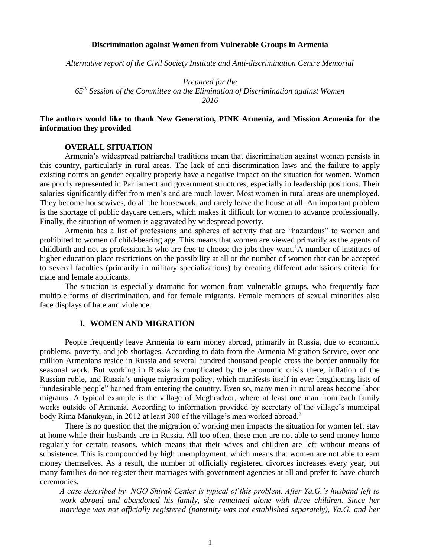#### **Discrimination against Women from Vulnerable Groups in Armenia**

*Alternative report of the Civil Society Institute and Anti-discrimination Centre Memorial*

*Prepared for the 65th Session of the Committee on the Elimination of Discrimination against Women 2016*

### **The authors would like to thank New Generation, PINK Armenia, and Mission Armenia for the information they provided**

### **OVERALL SITUATION**

Armenia's widespread patriarchal traditions mean that discrimination against women persists in this country, particularly in rural areas. The lack of anti-discrimination laws and the failure to apply existing norms on gender equality properly have a negative impact on the situation for women. Women are poorly represented in Parliament and government structures, especially in leadership positions. Their salaries significantly differ from men's and are much lower. Most women in rural areas are unemployed. They become housewives, do all the housework, and rarely leave the house at all. An important problem is the shortage of public daycare centers, which makes it difficult for women to advance professionally. Finally, the situation of women is aggravated by widespread poverty.

Armenia has a list of professions and spheres of activity that are "hazardous" to women and prohibited to women of child-bearing age. This means that women are viewed primarily as the agents of childbirth and not as professionals who are free to choose the jobs they want.<sup>1</sup>A number of institutes of higher education place restrictions on the possibility at all or the number of women that can be accepted to several faculties (primarily in military specializations) by creating different admissions criteria for male and female applicants.

The situation is especially dramatic for women from vulnerable groups, who frequently face multiple forms of discrimination, and for female migrants. Female members of sexual minorities also face displays of hate and violence.

### **I. WOMEN AND MIGRATION**

People frequently leave Armenia to earn money abroad, primarily in Russia, due to economic problems, poverty, and job shortages. According to data from the Armenia Migration Service, over one million Armenians reside in Russia and several hundred thousand people cross the border annually for seasonal work. But working in Russia is complicated by the economic crisis there, inflation of the Russian ruble, and Russia's unique migration policy, which manifests itself in ever-lengthening lists of "undesirable people" banned from entering the country. Even so, many men in rural areas become labor migrants. A typical example is the village of Meghradzor, where at least one man from each family works outside of Armenia. According to information provided by secretary of the village's municipal body Rima Manukyan, in 2012 at least 300 of the village's men worked abroad.<sup>2</sup>

There is no question that the migration of working men impacts the situation for women left stay at home while their husbands are in Russia. All too often, these men are not able to send money home regularly for certain reasons, which means that their wives and children are left without means of subsistence. This is compounded by high unemployment, which means that women are not able to earn money themselves. As a result, the number of officially registered divorces increases every year, but many families do not register their marriages with government agencies at all and prefer to have church ceremonies.

*A case described by NGO Shirak Center is typical of this problem. After Ya.G.'s husband left to work abroad and abandoned his family, she remained alone with three children. Since her marriage was not officially registered (paternity was not established separately), Ya.G. and her*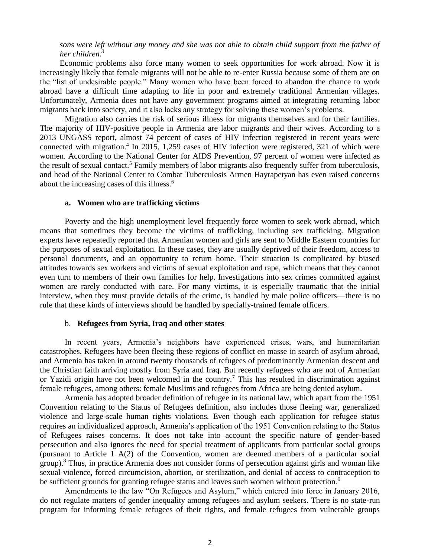*sons were left without any money and she was not able to obtain child support from the father of her children.<sup>3</sup>*

Economic problems also force many women to seek opportunities for work abroad. Now it is increasingly likely that female migrants will not be able to re-enter Russia because some of them are on the "list of undesirable people." Many women who have been forced to abandon the chance to work abroad have a difficult time adapting to life in poor and extremely traditional Armenian villages. Unfortunately, Armenia does not have any government programs aimed at integrating returning labor migrants back into society, and it also lacks any strategy for solving these women's problems.

Migration also carries the risk of serious illness for migrants themselves and for their families. The majority of HIV-positive people in Armenia are labor migrants and their wives. According to a 2013 UNGASS report, almost 74 percent of cases of HIV infection registered in recent years were connected with migration.<sup>4</sup> In 2015, 1,259 cases of HIV infection were registered, 321 of which were women. According to the National Center for AIDS Prevention, 97 percent of women were infected as the result of sexual contact.<sup>5</sup> Family members of labor migrants also frequently suffer from tuberculosis, and head of the National Center to Combat Tuberculosis Armen Hayrapetyan has even raised concerns about the increasing cases of this illness.<sup>6</sup>

### **a. Women who are trafficking victims**

Poverty and the high unemployment level frequently force women to seek work abroad, which means that sometimes they become the victims of trafficking, including sex trafficking. Migration experts have repeatedly reported that Armenian women and girls are sent to Middle Eastern countries for the purposes of sexual exploitation. In these cases, they are usually deprived of their freedom, access to personal documents, and an opportunity to return home. Their situation is complicated by biased attitudes towards sex workers and victims of sexual exploitation and rape, which means that they cannot even turn to members of their own families for help. Investigations into sex crimes committed against women are rarely conducted with care. For many victims, it is especially traumatic that the initial interview, when they must provide details of the crime, is handled by male police officers—there is no rule that these kinds of interviews should be handled by specially-trained female officers.

#### b. **Refugees from Syria, Iraq and other states**

In recent years, Armenia's neighbors have experienced crises, wars, and humanitarian catastrophes. Refugees have been fleeing these regions of conflict en masse in search of asylum abroad, and Armenia has taken in around twenty thousands of refugees of predominantly Armenian descent and the Christian faith arriving mostly from Syria and Iraq. But recently refugees who are not of Armenian or Yazidi origin have not been welcomed in the country.<sup>7</sup> This has resulted in discrimination against female refugees, among others: female Muslims and refugees from Africa are being denied asylum.

Armenia has adopted broader definition of refugee in its national law, which apart from the 1951 Convention relating to the Status of Refugees definition, also includes those fleeing war, generalized violence and large-scale human rights violations. Even though each application for refugee status requires an individualized approach, Armenia's application of the 1951 Convention relating to the Status of Refugees raises concerns. It does not take into account the specific nature of gender-based persecution and also ignores the need for special treatment of applicants from particular social groups (pursuant to Article 1 A(2) of the Convention, women are deemed members of a particular social group).<sup>8</sup> Thus, in practice Armenia does not consider forms of persecution against girls and woman like sexual violence, forced circumcision, abortion, or sterilization, and denial of access to contraception to be sufficient grounds for granting refugee status and leaves such women without protection.<sup>9</sup>

Amendments to the law "On Refugees and Asylum," which entered into force in January 2016, do not regulate matters of gender inequality among refugees and asylum seekers. There is no state-run program for informing female refugees of their rights, and female refugees from vulnerable groups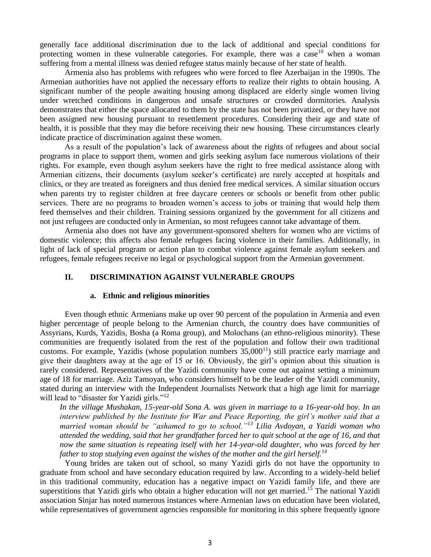generally face additional discrimination due to the lack of additional and special conditions for protecting women in these vulnerable categories. For example, there was a case  $10$  when a woman suffering from a mental illness was denied refugee status mainly because of her state of health.

Armenia also has problems with refugees who were forced to flee Azerbaijan in the 1990s. The Armenian authorities have not applied the necessary efforts to realize their rights to obtain housing. A significant number of the people awaiting housing among displaced are elderly single women living under wretched conditions in dangerous and unsafe structures or crowded dormitories. Analysis demonstrates that either the space allocated to them by the state has not been privatized, or they have not been assigned new housing pursuant to resettlement procedures. Considering their age and state of health, it is possible that they may die before receiving their new housing. These circumstances clearly indicate practice of discrimination against these women.

As a result of the population's lack of awareness about the rights of refugees and about social programs in place to support them, women and girls seeking asylum face numerous violations of their rights. For example, even though asylum seekers have the right to free medical assistance along with Armenian citizens, their documents (asylum seeker's certificate) are rarely accepted at hospitals and clinics, or they are treated as foreigners and thus denied free medical services. A similar situation occurs when parents try to register children at free daycare centers or schools or benefit from other public services. There are no programs to broaden women's access to jobs or training that would help them feed themselves and their children. Training sessions organized by the government for all citizens and not just refugees are conducted only in Armenian, so most refugees cannot take advantage of them.

Armenia also does not have any government-sponsored shelters for women who are victims of domestic violence; this affects also female refugees facing violence in their families. Additionally, in light of lack of special program or action plan to combat violence against female asylum seekers and refugees, female refugees receive no legal or psychological support from the Armenian government.

### **II. DISCRIMINATION AGAINST VULNERABLE GROUPS**

### **a. Ethnic and religious minorities**

Even though ethnic Armenians make up over 90 percent of the population in Armenia and even higher percentage of people belong to the Armenian church, the country does have communities of Assyrians, Kurds, Yazidis, Bosha (a Roma group), and Molochans (an ethno-religious minority). These communities are frequently isolated from the rest of the population and follow their own traditional customs. For example, Yazidis (whose population numbers  $35,000^{11}$ ) still practice early marriage and give their daughters away at the age of 15 or 16. Obviously, the girl's opinion about this situation is rarely considered. Representatives of the Yazidi community have come out against setting a minimum age of 18 for marriage. Aziz Tamoyan, who considers himself to be the leader of the Yazidi community, stated during an interview with the Independent Journalists Network that a high age limit for marriage will lead to "disaster for Yazidi girls."<sup>12</sup>

*In the village Mushakan, 15-year-old Sona A. was given in marriage to a 16-year-old boy. In an interview published by the Institute for War and Peace Reporting, the girl's mother said that a married woman should be "ashamed to go to school."<sup>13</sup> Lilia Avdoyan, a Yazidi woman who attended the wedding, said that her grandfather forced her to quit school at the age of 16, and that now the same situation is repeating itself with her 14-year-old daughter, who was forced by her father to stop studying even against the wishes of the mother and the girl herself.<sup>14</sup>*

Young brides are taken out of school, so many Yazidi girls do not have the opportunity to graduate from school and have secondary education required by law. According to a widely-held belief in this traditional community, education has a negative impact on Yazidi family life, and there are superstitions that Yazidi girls who obtain a higher education will not get married.<sup>15</sup> The national Yazidi association Sinjar has noted numerous instances where Armenian laws on education have been violated, while representatives of government agencies responsible for monitoring in this sphere frequently ignore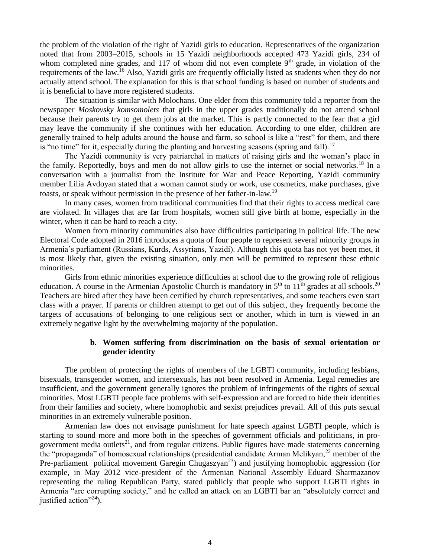the problem of the violation of the right of Yazidi girls to education. Representatives of the organization noted that from 2003–2015, schools in 15 Yazidi neighborhoods accepted 473 Yazidi girls, 234 of whom completed nine grades, and 117 of whom did not even complete  $9<sup>th</sup>$  grade, in violation of the requirements of the law.<sup>16</sup> Also, Yazidi girls are frequently officially listed as students when they do not actually attend school. The explanation for this is that school funding is based on number of students and it is beneficial to have more registered students.

The situation is similar with Molochans. One elder from this community told a reporter from the newspaper *Moskovsky komsomolets* that girls in the upper grades traditionally do not attend school because their parents try to get them jobs at the market. This is partly connected to the fear that a girl may leave the community if she continues with her education. According to one elder, children are generally trained to help adults around the house and farm, so school is like a "rest" for them, and there is "no time" for it, especially during the planting and harvesting seasons (spring and fall).<sup>17</sup>

The Yazidi community is very patriarchal in matters of raising girls and the woman's place in the family. Reportedly, boys and men do not allow girls to use the internet or social networks.<sup>18</sup> In a conversation with a journalist from the Institute for War and Peace Reporting, Yazidi community member Lilia Avdoyan stated that a woman cannot study or work, use cosmetics, make purchases, give toasts, or speak without permission in the presence of her father-in-law.<sup>19</sup>

In many cases, women from traditional communities find that their rights to access medical care are violated. In villages that are far from hospitals, women still give birth at home, especially in the winter, when it can be hard to reach a city.

Women from minority communities also have difficulties participating in political life. The new Electoral Code adopted in 2016 introduces a quota of four people to represent several minority groups in Armenia's parliament (Russians, Kurds, Assyrians, Yazidi). Although this quota has not yet been met, it is most likely that, given the existing situation, only men will be permitted to represent these ethnic minorities.

Girls from ethnic minorities experience difficulties at school due to the growing role of religious education. A course in the Armenian Apostolic Church is mandatory in  $5<sup>th</sup>$  to  $11<sup>th</sup>$  grades at all schools.<sup>20</sup> Teachers are hired after they have been certified by church representatives, and some teachers even start class with a prayer. If parents or children attempt to get out of this subject, they frequently become the targets of accusations of belonging to one religious sect or another, which in turn is viewed in an extremely negative light by the overwhelming majority of the population.

# **b. Women suffering from discrimination on the basis of sexual orientation or gender identity**

The problem of protecting the rights of members of the LGBTI community, including lesbians, bisexuals, transgender women, and intersexuals, has not been resolved in Armenia. Legal remedies are insufficient, and the government generally ignores the problem of infringements of the rights of sexual minorities. Most LGBTI people face problems with self-expression and are forced to hide their identities from their families and society, where homophobic and sexist prejudices prevail. All of this puts sexual minorities in an extremely vulnerable position.

Armenian law does not envisage punishment for hate speech against LGBTI people, which is starting to sound more and more both in the speeches of government officials and politicians, in progovernment media outlets<sup>21</sup>, and from regular citizens. Public figures have made statements concerning the "propaganda" of homosexual relationships (presidential candidate Arman Melikyan,<sup>22</sup> member of the Pre-parliament political movement Garegin Chugaszyan<sup>23</sup>) and justifying homophobic aggression (for example, in May 2012 vice-president of the Armenian National Assembly Eduard Sharmazanov representing the ruling Republican Party, stated publicly that people who support LGBTI rights in Armenia "are corrupting society," and he called an attack on an LGBTI bar an "absolutely correct and justified action $"^{24}$ ).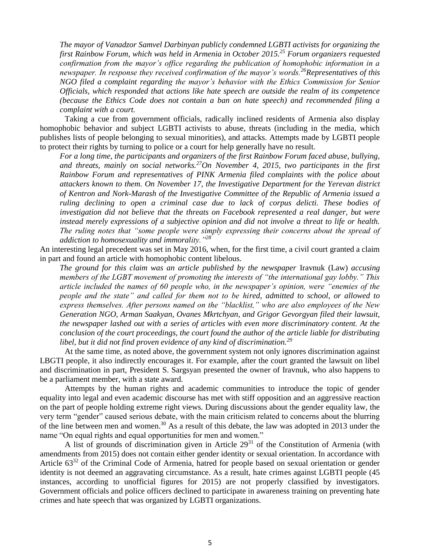*The mayor of Vanadzor Samvel Darbinyan publicly condemned LGBTI activists for organizing the first Rainbow Forum, which was held in Armenia in October 2015.<sup>25</sup> Forum organizers requested confirmation from the mayor's office regarding the publication of homophobic information in a newspaper. In response they received confirmation of the mayor's words.<sup>26</sup>Representatives of this NGO filed a complaint regarding the mayor's behavior with the Ethics Commission for Senior Officials, which responded that actions like hate speech are outside the realm of its competence (because the Ethics Code does not contain a ban on hate speech) and recommended filing a complaint with a court.*

Taking a cue from government officials, radically inclined residents of Armenia also display homophobic behavior and subject LGBTI activists to abuse, threats (including in the media, which publishes lists of people belonging to sexual minorities), and attacks. Attempts made by LGBTI people to protect their rights by turning to police or a court for help generally have no result.

*For a long time, the participants and organizers of the first Rainbow Forum faced abuse, bullying, and threats, mainly on social networks.<sup>27</sup>On November 4, 2015, two participants in the first Rainbow Forum and representatives of PINK Armenia filed complaints with the police about attackers known to them. On November 17, the Investigative Department for the Yerevan district of Kentron and Nork-Marash of the Investigative Committee of the Republic of Armenia issued a ruling declining to open a criminal case due to lack of corpus delicti. These bodies of investigation did not believe that the threats on Facebook represented a real danger, but were instead merely expressions of a subjective opinion and did not involve a threat to life or health. The ruling notes that "some people were simply expressing their concerns about the spread of addiction to homosexuality and immorality."<sup>28</sup>*

An interesting legal precedent was set in May 2016, when, for the first time, a civil court granted a claim in part and found an article with homophobic content libelous.

*The ground for this claim was an article published by the newspaper* Iravnuk (Law) *accusing members of the LGBT movement of promoting the interests of "the international gay lobby." This article included the names of 60 people who, in the newspaper's opinion, were "enemies of the people and the state" and called for them not to be hired, admitted to school, or allowed to express themselves. After persons named on the "blacklist," who are also employees of the New Generation NGO, Arman Saakyan, Ovanes Mkrtchyan, and Grigor Gevorgyan filed their lawsuit, the newspaper lashed out with a series of articles with even more discriminatory content. At the conclusion of the court proceedings, the court found the author of the article liable for distributing libel, but it did not find proven evidence of any kind of discrimination.<sup>29</sup>*

At the same time, as noted above, the government system not only ignores discrimination against LBGTI people, it also indirectly encourages it. For example, after the court granted the lawsuit on libel and discrimination in part, President S. Sargsyan presented the owner of Iravnuk, who also happens to be a parliament member, with a state award.

Attempts by the human rights and academic communities to introduce the topic of gender equality into legal and even academic discourse has met with stiff opposition and an aggressive reaction on the part of people holding extreme right views. During discussions about the gender equality law, the very term "gender" caused serious debate, with the main criticism related to concerns about the blurring of the line between men and women.<sup>30</sup> As a result of this debate, the law was adopted in 2013 under the name "On equal rights and equal opportunities for men and women."

A list of grounds of discrimination given in Article  $29<sup>31</sup>$  of the Constitution of Armenia (with amendments from 2015) does not contain either gender identity or sexual orientation. In accordance with Article 63<sup>32</sup> of the Criminal Code of Armenia, hatred for people based on sexual orientation or gender identity is not deemed an aggravating circumstance. As a result, hate crimes against LGBTI people (45 instances, according to unofficial figures for 2015) are not properly classified by investigators. Government officials and police officers declined to participate in awareness training on preventing hate crimes and hate speech that was organized by LGBTI organizations.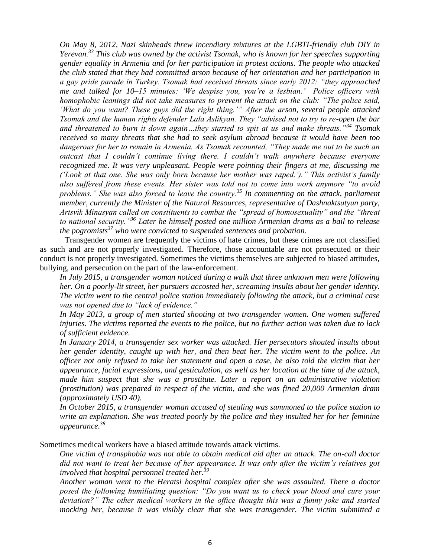*On May 8, 2012, Nazi skinheads threw incendiary mixtures at the LGBTI-friendly club DIY in Yerevan.<sup>33</sup> This club was owned by the activist Tsomak, who is known for her speeches supporting gender equality in Armenia and for her participation in protest actions. The people who attacked the club stated that they had committed arson because of her orientation and her participation in a gay pride parade in Turkey. Tsomak had received threats since early 2012: "they approached me and talked for 10–15 minutes: 'We despise you, you're a lesbian.' Police officers with homophobic leanings did not take measures to prevent the attack on the club: "The police said, 'What do you want? These guys did the right thing.'" After the arson, several people attacked Tsomak and the human rights defender Lala Aslikyan. They "advised not to try to re-open the bar and threatened to burn it down again…they started to spit at us and make threats."<sup>34</sup> Tsomak received so many threats that she had to seek asylum abroad because it would have been too dangerous for her to remain in Armenia. As Tsomak recounted, "They made me out to be such an outcast that I couldn't continue living there. I couldn't walk anywhere because everyone recognized me. It was very unpleasant. People were pointing their fingers at me, discussing me ('Look at that one. She was only born because her mother was raped.')." This activist's family also suffered from these events. Her sister was told not to come into work anymore "to avoid problems." She was also forced to leave the country.<sup>35</sup> In commenting on the attack, parliament member, currently the Minister of the Natural Resources, representative of Dashnaktsutyun party, Artsvik Minasyan called on constituents to combat the "spread of homosexuality" and the "threat to national security."<sup>36</sup> Later he himself posted one million Armenian drams as a bail to release the pogromists<sup>37</sup> who were convicted to suspended sentences and probation.*

Transgender women are frequently the victims of hate crimes, but these crimes are not classified as such and are not properly investigated. Therefore, those accountable are not prosecuted or their conduct is not properly investigated. Sometimes the victims themselves are subjected to biased attitudes, bullying, and persecution on the part of the law-enforcement.

*In July 2015, a transgender woman noticed during a walk that three unknown men were following her. On a poorly-lit street, her pursuers accosted her, screaming insults about her gender identity. The victim went to the central police station immediately following the attack, but a criminal case was not opened due to "lack of evidence."*

*In May 2013, a group of men started shooting at two transgender women. One women suffered injuries. The victims reported the events to the police, but no further action was taken due to lack of sufficient evidence.*

*In January 2014, a transgender sex worker was attacked. Her persecutors shouted insults about her gender identity, caught up with her, and then beat her. The victim went to the police. An officer not only refused to take her statement and open a case, he also told the victim that her appearance, facial expressions, and gesticulation, as well as her location at the time of the attack, made him suspect that she was a prostitute. Later a report on an administrative violation (prostitution) was prepared in respect of the victim, and she was fined 20,000 Armenian dram (approximately USD 40).* 

*In October 2015, a transgender woman accused of stealing was summoned to the police station to write an explanation. She was treated poorly by the police and they insulted her for her feminine appearance.<sup>38</sup>*

Sometimes medical workers have a biased attitude towards attack victims.

*One victim of transphobia was not able to obtain medical aid after an attack. The on-call doctor did not want to treat her because of her appearance. It was only after the victim's relatives got involved that hospital personnel treated her.<sup>39</sup>*

*Another woman went to the Heratsi hospital complex after she was assaulted. There a doctor posed the following humiliating question: "Do you want us to check your blood and cure your deviation?" The other medical workers in the office thought this was a funny joke and started mocking her, because it was visibly clear that she was transgender. The victim submitted a*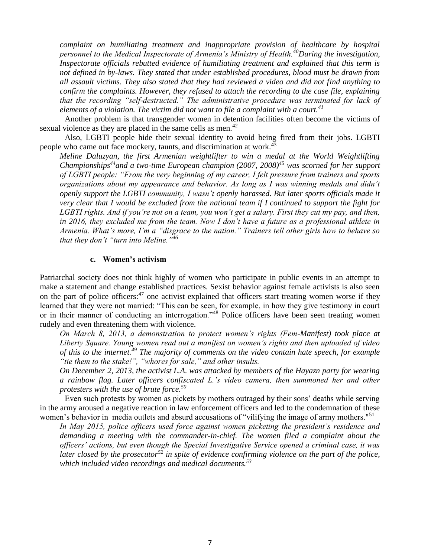*complaint on humiliating treatment and inappropriate provision of healthcare by hospital personnel to the Medical Inspectorate of Armenia's Ministry of Health.<sup>40</sup>During the investigation, Inspectorate officials rebutted evidence of humiliating treatment and explained that this term is not defined in by-laws. They stated that under established procedures, blood must be drawn from all assault victims. They also stated that they had reviewed a video and did not find anything to confirm the complaints. However, they refused to attach the recording to the case file, explaining that the recording "self-destructed." The administrative procedure was terminated for lack of elements of a violation. The victim did not want to file a complaint with a court.<sup>41</sup>*

Another problem is that transgender women in detention facilities often become the victims of sexual violence as they are placed in the same cells as men.<sup>42</sup>

Also, LGBTI people hide their sexual identity to avoid being fired from their jobs. LGBTI people who came out face mockery, taunts, and discrimination at work.<sup>43</sup>

*Meline Daluzyan, the first Armenian weightlifter to win a medal at the World Weightlifting Championships<sup>44</sup>and a two-time European champion (2007, 2008)<sup>45</sup> was scorned for her support of LGBTI people: "From the very beginning of my career, I felt pressure from trainers and sports organizations about my appearance and behavior. As long as I was winning medals and didn't openly support the LGBTI community, I wasn't openly harassed. But later sports officials made it very clear that I would be excluded from the national team if I continued to support the fight for LGBTI rights. And if you're not on a team, you won't get a salary. First they cut my pay, and then, in 2016, they excluded me from the team. Now I don't have a future as a professional athlete in Armenia. What's more, I'm a "disgrace to the nation." Trainers tell other girls how to behave so that they don't "turn into Meline."<sup>46</sup>*

### **c. Women's activism**

Patriarchal society does not think highly of women who participate in public events in an attempt to make a statement and change established practices. Sexist behavior against female activists is also seen on the part of police officers: $^{47}$  one activist explained that officers start treating women worse if they learned that they were not married: "This can be seen, for example, in how they give testimony in court or in their manner of conducting an interrogation."<sup>48</sup> Police officers have been seen treating women rudely and even threatening them with violence.

*On March 8, 2013, a demonstration to protect women's rights (Fem-Manifest) took place at Liberty Square. Young women read out a manifest on women's rights and then uploaded of video of this to the internet.<sup>49</sup> The majority of comments on the video contain hate speech, for example "tie them to the stake!", "whores for sale," and other insults.*

*On December 2, 2013, the activist L.A. was attacked by members of the Hayazn party for wearing a rainbow flag. Later officers confiscated L.'s video camera, then summoned her and other protesters with the use of brute force.<sup>50</sup>*

Even such protests by women as pickets by mothers outraged by their sons' deaths while serving in the army aroused a negative reaction in law enforcement officers and led to the condemnation of these women's behavior in media outlets and absurd accusations of "vilifying the image of army mothers."<sup>51</sup>

*In May 2015, police officers used force against women picketing the president's residence and demanding a meeting with the commander-in-chief. The women filed a complaint about the officers' actions, but even though the Special Investigative Service opened a criminal case, it was later closed by the prosecutor<sup>52</sup> in spite of evidence confirming violence on the part of the police, which included video recordings and medical documents.<sup>53</sup>*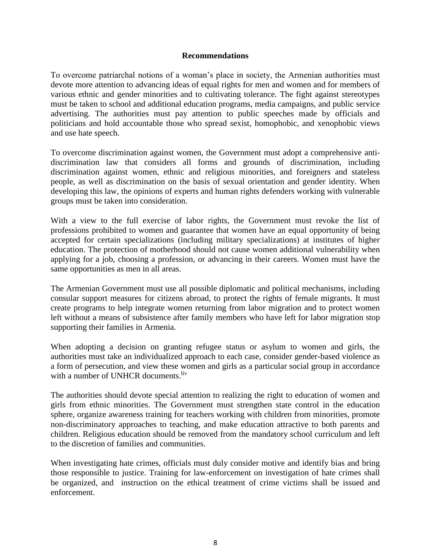## **Recommendations**

To overcome patriarchal notions of a woman's place in society, the Armenian authorities must devote more attention to advancing ideas of equal rights for men and women and for members of various ethnic and gender minorities and to cultivating tolerance. The fight against stereotypes must be taken to school and additional education programs, media campaigns, and public service advertising. The authorities must pay attention to public speeches made by officials and politicians and hold accountable those who spread sexist, homophobic, and xenophobic views and use hate speech.

To overcome discrimination against women, the Government must adopt a comprehensive antidiscrimination law that considers all forms and grounds of discrimination, including discrimination against women, ethnic and religious minorities, and foreigners and stateless people, as well as discrimination on the basis of sexual orientation and gender identity. When developing this law, the opinions of experts and human rights defenders working with vulnerable groups must be taken into consideration.

With a view to the full exercise of labor rights, the Government must revoke the list of professions prohibited to women and guarantee that women have an equal opportunity of being accepted for certain specializations (including military specializations) at institutes of higher education. The protection of motherhood should not cause women additional vulnerability when applying for a job, choosing a profession, or advancing in their careers. Women must have the same opportunities as men in all areas.

The Armenian Government must use all possible diplomatic and political mechanisms, including consular support measures for citizens abroad, to protect the rights of female migrants. It must create programs to help integrate women returning from labor migration and to protect women left without a means of subsistence after family members who have left for labor migration stop supporting their families in Armenia.

When adopting a decision on granting refugee status or asylum to women and girls, the authorities must take an individualized approach to each case, consider gender-based violence as a form of persecution, and view these women and girls as a particular social group in accordance with a number of UNHCR documents.<sup>liv</sup>

The authorities should devote special attention to realizing the right to education of women and girls from ethnic minorities. The Government must strengthen state control in the education sphere, organize awareness training for teachers working with children from minorities, promote non-discriminatory approaches to teaching, and make education attractive to both parents and children. Religious education should be removed from the mandatory school curriculum and left to the discretion of families and communities.

When investigating hate crimes, officials must duly consider motive and identify bias and bring those responsible to justice. Training for law-enforcement on investigation of hate crimes shall be organized, and instruction on the ethical treatment of crime victims shall be issued and enforcement.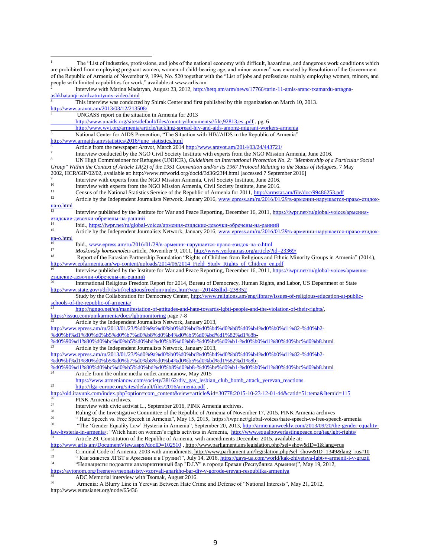<sup>1</sup> The "List of industries, professions, and jobs of the national economy with difficult, hazardous, and dangerous work conditions which are prohibited from employing pregnant women, women of child-bearing age, and minor women" was enacted by Resolution of the Government of the Republic of Armenia of November 9, 1994, No. 520 together with the "List of jobs and professions mainly employing women, minors, and people with limited capabilities for work," available at www.arlis.am 2 Interview with Marina Madatyan, August 23, 2012[, http://hetq.am/arm/news/17766/tarin-11-amis-aranc-txamardu-artagna](http://hetq.am/arm/news/17766/tarin-11-amis-aranc-txamardu-artagna-ashkhatanqi-vardzatrutyuny-video.html)[ashkhatanqi-vardzatrutyuny-video.html](http://hetq.am/arm/news/17766/tarin-11-amis-aranc-txamardu-artagna-ashkhatanqi-vardzatrutyuny-video.html) <sup>3</sup> This interview was conducted by Shirak Center and first published by this organization on March 10, 2013. <http://www.aravot.am/2013/03/12/213508/> <sup>4</sup> UNGASS report on the situation in Armenia for 2013 [http://www.unaids.org/sites/default/files/country/documents//file,92813,es..pdf](http://www.unaids.org/sites/default/files/country/documents/file,92813,es..pdf) , pg. 6 <http://www.wvi.org/armenia/article/tackling-spread-hiv-and-aids-among-migrant-workers-armenia> National Center for AIDS Prevention, "The Situation with HIV/AIDS in the Republic of Armenia" [http://www.armaids.am/statistics/2016/june\\_statistics.html](http://www.armaids.am/statistics/2016/june_statistics.html) <sup>6</sup> Article from the newspaper *Aravot*, March 2014 [http://www.aravot.am/2014/03/24/443721/](http://www.aravot.am/2014/03/24/443721/#_blank) 7 Interview conducted by the NGO Civil Society Institute with experts from the NGO Mission Armenia, June 2016. <sup>8</sup> UN High Commissioner for Refugees (UNHCR), *Guidelines on International Protection No. 2: "Membership of a Particular Social Group" Within the Context of Article 1A(2) of the 1951 Convention and/or its 1967 Protocol Relating to the Status of Refugees*, 7 May 2002, HCR/GIP/02/02, available at: http://www.refworld.org/docid/3d36f23f4.html [accessed 7 September 2016] 9 Interview with experts from the NGO Mission Armenia, Civil Society Institute, June 2016. <sup>10</sup><br>Interview with experts from the NGO Mission Armenia, Civil Society Institute, June 2016.<br>Cancus of the National Statistics Service of the Penublic of Armenia for 2011, http://grappta <sup>11</sup> Census of the National Statistics Service of the Republic of Armenia for 2011,  $\frac{http://armstat.am/file/doc/99486253.pdf}{http://armstat.am/file/doc/99486253.pdf}$ Article by the Independent Journalists Network, January 2016[, www.epress.am/ru/2016/01/29/в-армении-нарушается-право-езидок-](http://www.epress.am/ru/2016/01/29/в-армении-нарушается-право-езидок-на-о.html) $Ha-o.html$ <sup>13</sup> Interview published by the Institute for War and Peace Reporting, December 16, 2011[, https://iwpr.net/ru/global-voices/армения](https://iwpr.net/ru/global-voices/армения-езидские-девочки-обречены-на-ранний)[езидские-девочки-обречены-на-ранний](https://iwpr.net/ru/global-voices/армения-езидские-девочки-обречены-на-ранний) <sup>14</sup> Ibid.[, https://iwpr.net/ru/global-voices/армения-езидские-девочки-обречены-на-ранний](https://iwpr.net/ru/global-voices/армения-езидские-девочки-обречены-на-ранний)<br>
<sup>15</sup> Article by the Independent Journalists Network, Joniery 2016, www.enrese.em/ru/2016/01 Article by the Independent Journalists Network, January 2016, [www.epress.am/ru/2016/01/29/в-армении-нарушается-право-езидок-](http://www.epress.am/ru/2016/01/29/в-армении-нарушается-право-езидок-на-о.html) $\frac{Ha-O.html}{16}$ <sup>16</sup> Ibid., <u>www.epress.am/ru/2016/01/29/в-армении-нарушается-право-езидок-на-о.html</u> <sup>17</sup> *Moskovsky komsomolets* article, November 9, 2011[, http://www.yerkramas.org/article/?id=23369/](http://www.yerkramas.org/article/?id=23369/) <sup>18</sup> Report of the Eurasian Partnership Foundation "Rights of Children from Religious and Ethnic Minority Groups in Armenia" (2014), [http://www.epfarmenia.am/wp-content/uploads/2014/06/2014\\_Field\\_Study\\_Rights\\_of\\_Chidren\\_en.pdf](http://www.epfarmenia.am/wp-content/uploads/2014/06/2014_Field_Study_Rights_of_Chidren_en.pdf) <sup>19</sup> Interview published by the Institute for War and Peace Reporting, December 16, 2011[, https://iwpr.net/ru/global-voices/армения](https://iwpr.net/ru/global-voices/армения-езидские-девочки-обречены-на-ранний)[езидские-девочки-обречены-на-ранний](https://iwpr.net/ru/global-voices/армения-езидские-девочки-обречены-на-ранний) <sup>20</sup> International Religious Freedom Report for 2014, Bureau of Democracy, Human Rights, and Labor, US Department of State <http://www.state.gov/j/drl/rls/irf/religiousfreedom/index.htm?year=2014&dlid=238352> Study by the Collaboration for Democracy Center[, http://www.religions.am/eng/library/issues-of-religious-education-at-public](http://www.religions.am/eng/library/issues-of-religious-education-at-public-schools-of-the-republic-of-armenia/)[schools-of-the-republic-of-armenia/](http://www.religions.am/eng/library/issues-of-religious-education-at-public-schools-of-the-republic-of-armenia/) <sup>21</sup> [http://ngngo.net/en/manifestation-of-attitudes-and-hate-towards-lgbti-people-and-the-violation-of-their-rights/,](http://ngngo.net/en/manifestation-of-attitudes-and-hate-towards-lgbti-people-and-the-violation-of-their-rights/) <https://issuu.com/pinkarmenia/docs/lgbtmonitoring> page 7-8 Article by the Independent Journalists Network, January 2013, [http://www.epress.am/ru/2013/01/23/%d0%9a%d0%b0%d0%bd%d0%b4%d0%b8%d0%b4%d0%b0%d1%82-%d0%b2-](http://www.epress.am/ru/2013/01/23/Кандидат-в-президенты-Армении-об-арми.html) [%d0%bf%d1%80%d0%b5%d0%b7%d0%b8%d0%b4%d0%b5%d0%bd%d1%82%d1%8b-](http://www.epress.am/ru/2013/01/23/Кандидат-в-президенты-Армении-об-арми.html) %d0%90%d1%80%d0%b2%d0%b5%d0%bd%d0%b8%d0%b8-%d0%be%d0%b1-%d0%b0%d1%80%d0%bc%d0%b8.html<br>23 April 20 April 20 April 20 April 20 April 20 April 20 April 20 April 20 April 20 April 20 April 20 April 20<br>20 April 20 April 20 Apri Article by the Independent Journalists Network, January 2013, [http://www.epress.am/ru/2013/01/23/%d0%9a%d0%b0%d0%bd%d0%b4%d0%b8%d0%b4%d0%b0%d1%82-%d0%b2-](http://www.epress.am/ru/2013/01/23/Кандидат-в-президенты-Армении-об-арми.html) [%d0%bf%d1%80%d0%b5%d0%b7%d0%b8%d0%b4%d0%b5%d0%bd%d1%82%d1%8b-](http://www.epress.am/ru/2013/01/23/Кандидат-в-президенты-Армении-об-арми.html) [%d0%90%d1%80%d0%bc%d0%b5%d0%bd%d0%b8%d0%b8-%d0%be%d0%b1-%d0%b0%d1%80%d0%bc%d0%b8.html](http://www.epress.am/ru/2013/01/23/Кандидат-в-президенты-Армении-об-арми.html)<br>24 A Article from the sull and the substantial control to the substantial control of the substantial control to the substantial control Article from the online media outlet armenianow, May 2015 [https://www.armenianow.com/society/38162/diy\\_gay\\_lesbian\\_club\\_bomb\\_attack\\_yerevan\\_reactions](https://www.armenianow.com/society/38162/diy_gay_lesbian_club_bomb_attack_yerevan_reactions) <sup>25</sup> <http://ilga-europe.org/sites/default/files/2016/armenia.pdf>, [http://old.iravunk.com/index.php?option=com\\_content&view=article&id=30778:2015-10-23-12-01-44&catid=51:tema&Itemid=115](http://old.iravunk.com/index.php?option=com_content&view=article&id=30778:2015-10-23-12-01-44&catid=51:tema&Itemid=115)  $^{26}$  PINK Armenia archives.<br> $^{27}$  Interview with civic activ <sup>27</sup> Interview with civic activist L., September 2016, PINK Armenia archives.<br><sup>28</sup> Pullips of the Investigative Committee of the Penublic of Armenia of Navy <sup>28</sup> Ruling of the Investigative Committee of the Republic of Armenia of November 17, 2015, PINK Armenia archives<br><sup>29</sup> "Heta Speech yn Free Speech in Armenia" May 15, 2015, https://jy.mr.pat/alabel.yajae/beta apeech yn fr <sup>29</sup> "Hate Speech vs. Free Speech in Armenia", May 15, 2015, https://iwpr.net/global-voices/hate-speech-vs-free-speech-armenia<br><sup>30</sup> "The Condag Familie Law' Hartais in Armenia", September 20, 2012, https://www.pianonable.c <sup>30</sup> "The 'Gender Equality Law' Hysteria in Armenia", September 20, 2013[, http://armenianweekly.com/2013/09/20/the-gender-equality](http://armenianweekly.com/2013/09/20/the-gender-equality-law-hysteria-in-armenia/)[law-hysteria-in-armenia/;](http://armenianweekly.com/2013/09/20/the-gender-equality-law-hysteria-in-armenia/) "Witch hunt on women's rights activists in Armenia,<http://www.equalpowerlastingpeace.org/tag/lgbt-rights/> Article 29, Constitution of the Republic of Armenia, with amendments December 2015, available at: <http://www.arlis.am/DocumentView.aspx?docID=102510> , http://www.parliament.am/legislation.php?sel=show&ID=1&lang=rus<br>32<br>Criminal Code of Armonia 2003 with emandments http://www.parliament.am/legislation.php?sel=show&ID=1&l  $\frac{32}{133}$  Criminal Code of Armenia, 2003 with amendments, http://www.parliament.am/legislation.php?sel=show&ID=1349&lang=rus#10<br>"Kay xuperca JUEU a Apmeuuu u a Epyzuu?" July 14–2016 https://gays-ua.com/world/kak-zhivet <sup>33</sup> " Как живется ЛГБТ в Армении и в Грузии?", July 14, 2016[, https://gays-ua.com/world/kak-zhivetsya-lgbt-v-armenii-i-v-gruzii](https://gays-ua.com/world/kak-zhivetsya-lgbt-v-armenii-i-v-gruzii) <sup>34</sup> "Неонацисты подожгли альтернативный бар "D.I.Y" в городе Ереван (Республика Армения)", May 19, 2012, <https://avtonom.org/freenews/neonatsisty-vzorvali-anarkho-bar-diy-v-gorode-erevan-respublika-armeniya>  $35$  ADC Memorial interview with Tsomak, August 2016. <sup>36</sup> Armenia: A Blurry Line in Yerevan Between Hate Crime and Defense of "National Interests", May 21, 2012,

http://www.eurasianet.org/node/65436

 $\overline{\phantom{a}}$